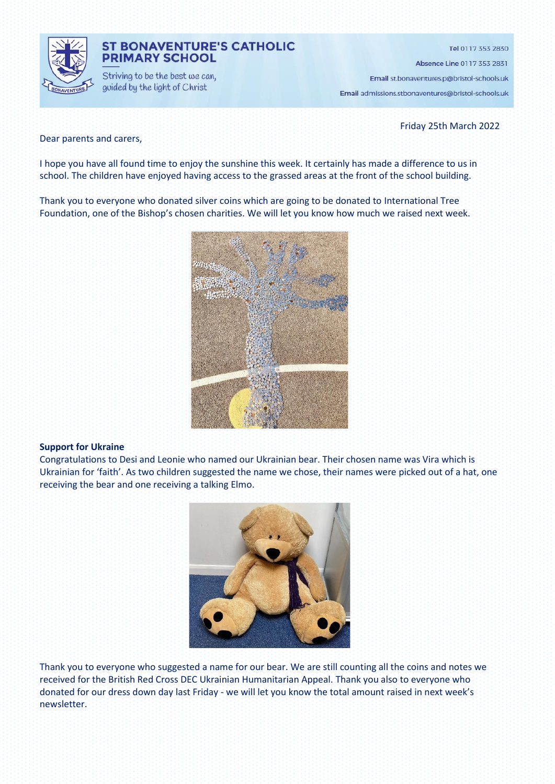

# **ST BONAVENTURE'S CATHOLIC PRIMARY SCHOOL**

Striving to be the best we can, guided by the light of Christ

Tel 0117 353 2830

Absence Line 0117 353 2831

Email st.bonaventures.p@bristol-schools.uk

Email admissions.stbonaventures@bristol-schools.uk

Friday 25th March 2022

### Dear parents and carers,

I hope you have all found time to enjoy the sunshine this week. It certainly has made a difference to us in school. The children have enjoyed having access to the grassed areas at the front of the school building.

Thank you to everyone who donated silver coins which are going to be donated to International Tree Foundation, one of the Bishop's chosen charities. We will let you know how much we raised next week.



#### **Support for Ukraine**

Congratulations to Desi and Leonie who named our Ukrainian bear. Their chosen name was Vira which is Ukrainian for 'faith'. As two children suggested the name we chose, their names were picked out of a hat, one receiving the bear and one receiving a talking Elmo.



Thank you to everyone who suggested a name for our bear. We are still counting all the coins and notes we received for the British Red Cross DEC Ukrainian Humanitarian Appeal. Thank you also to everyone who donated for our dress down day last Friday - we will let you know the total amount raised in next week's newsletter.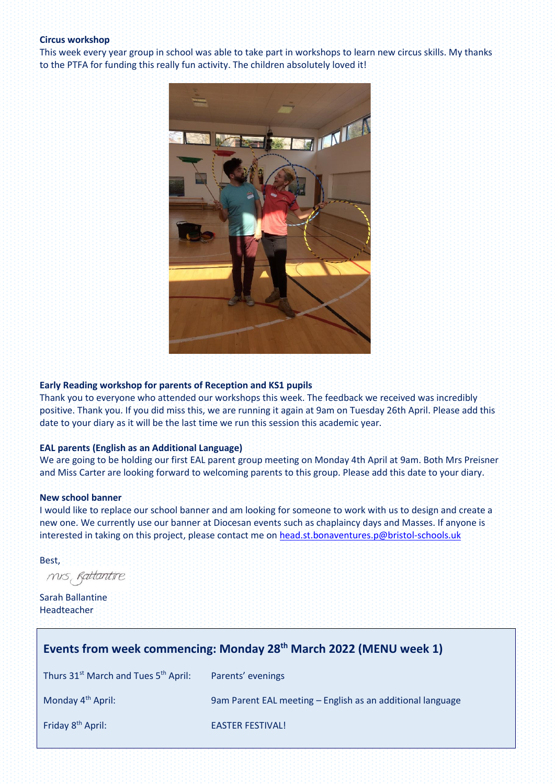#### **Circus workshop**

This week every year group in school was able to take part in workshops to learn new circus skills. My thanks to the PTFA for funding this really fun activity. The children absolutely loved it!



#### **Early Reading workshop for parents of Reception and KS1 pupils**

Thank you to everyone who attended our workshops this week. The feedback we received was incredibly positive. Thank you. If you did miss this, we are running it again at 9am on Tuesday 26th April. Please add this date to your diary as it will be the last time we run this session this academic year.

#### **EAL parents (English as an Additional Language)**

We are going to be holding our first EAL parent group meeting on Monday 4th April at 9am. Both Mrs Preisner and Miss Carter are looking forward to welcoming parents to this group. Please add this date to your diary.

#### **New school banner**

I would like to replace our school banner and am looking for someone to work with us to design and create a new one. We currently use our banner at Diocesan events such as chaplaincy days and Masses. If anyone is interested in taking on this project, please contact me on [head.st.bonaventures.p@bristol-schools.uk](mailto:head.st.bonaventures.p@bristol-schools.uk)

Best,

mis Rattantire

Sarah Ballantine Headteacher

| Events from week commencing: Monday 28 <sup>th</sup> March 2022 (MENU week 1) |                                                            |
|-------------------------------------------------------------------------------|------------------------------------------------------------|
| Thurs 31 <sup>st</sup> March and Tues 5 <sup>th</sup> April:                  | Parents' evenings                                          |
| Monday 4 <sup>th</sup> April:                                                 | 9am Parent EAL meeting – English as an additional language |
| Friday 8 <sup>th</sup> April:                                                 | <b>EASTER FESTIVAL!</b>                                    |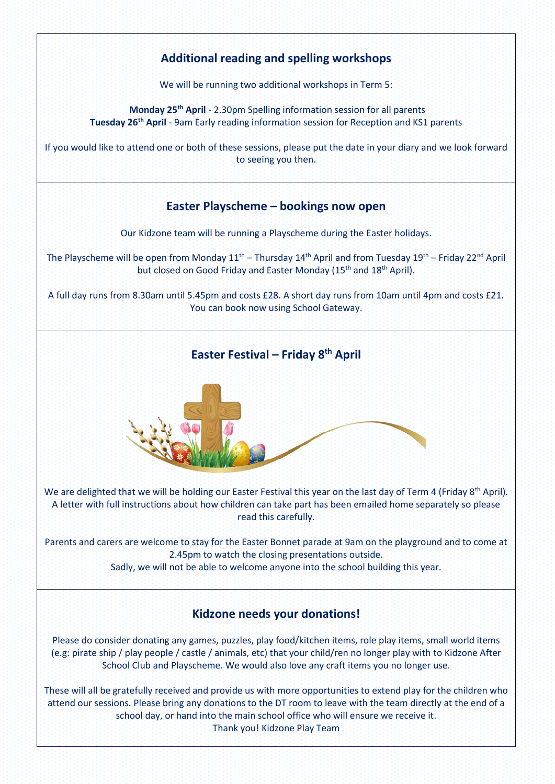# **Additional reading and spelling workshops**

We will be running two additional workshops in Term 5:

**Monday 25th April** - 2.30pm Spelling information session for all parents **Tuesday 26th April** - 9am Early reading information session for Reception and KS1 parents

If you would like to attend one or both of these sessions, please put the date in your diary and we look forward to seeing you then.

# **Easter Playscheme – bookings now open**

Our Kidzone team will be running a Playscheme during the Easter holidays.

The Playscheme will be open from Monday  $11^{th}$  – Thursday  $14^{th}$  April and from Tuesday  $19^{th}$  – Friday 22<sup>nd</sup> April but closed on Good Friday and Easter Monday (15<sup>th</sup> and 18<sup>th</sup> April).

A full day runs from 8.30am until 5.45pm and costs £28. A short day runs from 10am until 4pm and costs £21. You can book now using School Gateway.

# **Easter Festival – Friday 8th April**

We are delighted that we will be holding our Easter Festival this year on the last day of Term 4 (Friday 8<sup>th</sup> April). A letter with full instructions about how children can take part has been emailed home separately so please read this carefully.

Parents and carers are welcome to stay for the Easter Bonnet parade at 9am on the playground and to come at 2.45pm to watch the closing presentations outside.

Sadly, we will not be able to welcome anyone into the school building this year.

# **Kidzone needs your donations!**

Please do consider donating any games, puzzles, play food/kitchen items, role play items, small world items (e.g: pirate ship / play people / castle / animals, etc) that your child/ren no longer play with to Kidzone After School Club and Playscheme. We would also love any craft items you no longer use.

These will all be gratefully received and provide us with more opportunities to extend play for the children who attend our sessions. Please bring any donations to the DT room to leave with the team directly at the end of a school day, or hand into the main school office who will ensure we receive it. Thank you! Kidzone Play Team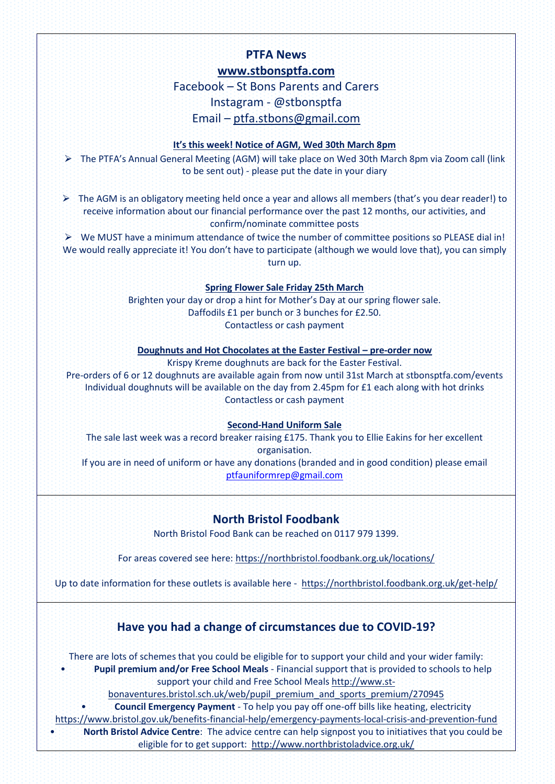# **PTFA News [www.stbonsptfa.com](file:///C:/Users/sophi/Documents/Personal/PTFA/www.stbonsptfa.com)**

Facebook – St Bons Parents and Carers Instagram - @stbonsptfa Email – [ptfa.stbons@gmail.com](mailto:ptfa.stbons@gmail.com)

# **It's this week! Notice of AGM, Wed 30th March 8pm**

⮚ The PTFA's Annual General Meeting (AGM) will take place on Wed 30th March 8pm via Zoom call (link to be sent out) - please put the date in your diary

 $\triangleright$  The AGM is an obligatory meeting held once a year and allows all members (that's you dear reader!) to receive information about our financial performance over the past 12 months, our activities, and confirm/nominate committee posts

 $\triangleright$  We MUST have a minimum attendance of twice the number of committee positions so PLEASE dial in! We would really appreciate it! You don't have to participate (although we would love that), you can simply turn up.

# **Spring Flower Sale Friday 25th March**

Brighten your day or drop a hint for Mother's Day at our spring flower sale. Daffodils £1 per bunch or 3 bunches for £2.50. Contactless or cash payment

**Doughnuts and Hot Chocolates at the Easter Festival – pre-order now**

Krispy Kreme doughnuts are back for the Easter Festival.

Pre-orders of 6 or 12 doughnuts are available again from now until 31st March at stbonsptfa.com/events Individual doughnuts will be available on the day from 2.45pm for £1 each along with hot drinks Contactless or cash payment

# **Second-Hand Uniform Sale**

The sale last week was a record breaker raising £175. Thank you to Ellie Eakins for her excellent organisation. If you are in need of uniform or have any donations (branded and in good condition) please email [ptfauniformrep@gmail.com](mailto:ptfauniformrep@gmail.com)

**North Bristol Foodbank**

North Bristol Food Bank can be reached on 0117 979 1399.

For areas covered see here[: https://northbristol.foodbank.org.uk/locations/](https://northbristol.foodbank.org.uk/locations/)

Up to date information for these outlets is available here -<https://northbristol.foodbank.org.uk/get-help/>

# **Have you had a change of circumstances due to COVID-19?**

There are lots of schemes that you could be eligible for to support your child and your wider family:

• **Pupil premium and/or Free School Meals** - Financial support that is provided to schools to help support your child and Free School Meals [http://www.st-](http://www.st-bonaventures.bristol.sch.uk/web/pupil_premium_and_sports_premium/270945)

[bonaventures.bristol.sch.uk/web/pupil\\_premium\\_and\\_sports\\_premium/270945](http://www.st-bonaventures.bristol.sch.uk/web/pupil_premium_and_sports_premium/270945) 

• **Council Emergency Payment** - To help you pay off one-off bills like heating, electricity

<https://www.bristol.gov.uk/benefits-financial-help/emergency-payments-local-crisis-and-prevention-fund>

• **North Bristol Advice Centre**: The advice centre can help signpost you to initiatives that you could be eligible for to get support: <http://www.northbristoladvice.org.uk/>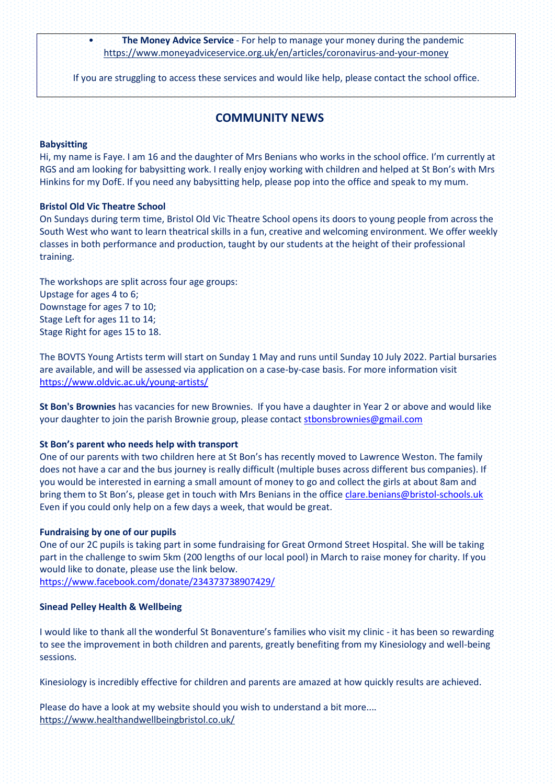• **The Money Advice Service** - For help to manage your money during the pandemic <https://www.moneyadviceservice.org.uk/en/articles/coronavirus-and-your-money>

If you are struggling to access these services and would like help, please contact the school office.

# **COMMUNITY NEWS**

# **Babysitting**

Hi, my name is Faye. I am 16 and the daughter of Mrs Benians who works in the school office. I'm currently at RGS and am looking for babysitting work. I really enjoy working with children and helped at St Bon's with Mrs Hinkins for my DofE. If you need any babysitting help, please pop into the office and speak to my mum.

# **Bristol Old Vic Theatre School**

On Sundays during term time, Bristol Old Vic Theatre School opens its doors to young people from across the South West who want to learn theatrical skills in a fun, creative and welcoming environment. We offer weekly classes in both performance and production, taught by our students at the height of their professional training.

The workshops are split across four age groups: Upstage for ages 4 to 6; Downstage for ages 7 to 10; Stage Left for ages 11 to 14; Stage Right for ages 15 to 18.

The BOVTS Young Artists term will start on Sunday 1 May and runs until Sunday 10 July 2022. Partial bursaries are available, and will be assessed via application on a case-by-case basis. For more information visit <https://www.oldvic.ac.uk/young-artists/>

**St Bon's Brownies** has vacancies for new Brownies. If you have a daughter in Year 2 or above and would like your daughter to join the parish Brownie group, please contact [stbonsbrownies@gmail.com](mailto:stbonsbrownies@gmail.com)

# **St Bon's parent who needs help with transport**

One of our parents with two children here at St Bon's has recently moved to Lawrence Weston. The family does not have a car and the bus journey is really difficult (multiple buses across different bus companies). If you would be interested in earning a small amount of money to go and collect the girls at about 8am and bring them to St Bon's, please get in touch with Mrs Benians in the office [clare.benians@bristol-schools.uk](mailto:clare.benians@bristol-schools.uk) Even if you could only help on a few days a week, that would be great.

#### **Fundraising by one of our pupils**

One of our 2C pupils is taking part in some fundraising for Great Ormond Street Hospital. She will be taking part in the challenge to swim 5km (200 lengths of our local pool) in March to raise money for charity. If you would like to donate, please use the link below.

<https://www.facebook.com/donate/234373738907429/>

# **Sinead Pelley Health & Wellbeing**

I would like to thank all the wonderful St Bonaventure's families who visit my clinic - it has been so rewarding to see the improvement in both children and parents, greatly benefiting from my Kinesiology and well-being sessions.

Kinesiology is incredibly effective for children and parents are amazed at how quickly results are achieved.

Please do have a look at my website should you wish to understand a bit more.... <https://www.healthandwellbeingbristol.co.uk/>